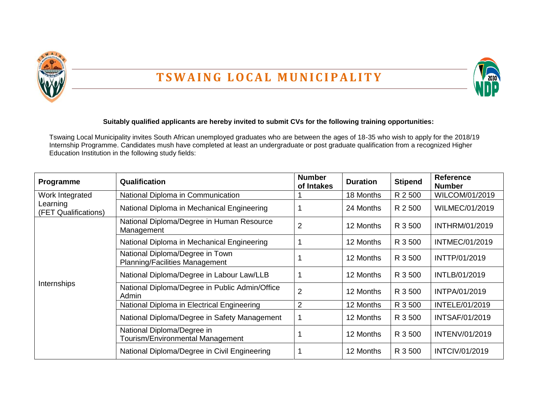

## **T S W A I N G L O C A L M U N I C I P A L I T Y**



## **Suitably qualified applicants are hereby invited to submit CVs for the following training opportunities:**

Tswaing Local Municipality invites South African unemployed graduates who are between the ages of 18-35 who wish to apply for the 2018/19 Internship Programme. Candidates mush have completed at least an undergraduate or post graduate qualification from a recognized Higher Education Institution in the following study fields:

| Programme                                           | <b>Qualification</b>                                                     | <b>Number</b><br>of Intakes | <b>Duration</b> | <b>Stipend</b> | <b>Reference</b><br><b>Number</b> |
|-----------------------------------------------------|--------------------------------------------------------------------------|-----------------------------|-----------------|----------------|-----------------------------------|
| Work Integrated<br>Learning<br>(FET Qualifications) | National Diploma in Communication                                        |                             | 18 Months       | R 2 500        | WILCOM/01/2019                    |
|                                                     | National Diploma in Mechanical Engineering                               |                             | 24 Months       | R 2 500        | <b>WILMEC/01/2019</b>             |
| Internships                                         | National Diploma/Degree in Human Resource<br>Management                  | $\overline{2}$              | 12 Months       | R 3 500        | INTHRM/01/2019                    |
|                                                     | National Diploma in Mechanical Engineering                               |                             | 12 Months       | R 3 500        | <b>INTMEC/01/2019</b>             |
|                                                     | National Diploma/Degree in Town<br><b>Planning/Facilities Management</b> |                             | 12 Months       | R 3 500        | INTTP/01/2019                     |
|                                                     | National Diploma/Degree in Labour Law/LLB                                |                             | 12 Months       | R 3 500        | INTLB/01/2019                     |
|                                                     | National Diploma/Degree in Public Admin/Office<br>Admin                  | $\overline{2}$              | 12 Months       | R 3 500        | INTPA/01/2019                     |
|                                                     | National Diploma in Electrical Engineering                               | $\overline{2}$              | 12 Months       | R 3 500        | INTELE/01/2019                    |
|                                                     | National Diploma/Degree in Safety Management                             |                             | 12 Months       | R 3 500        | <b>INTSAF/01/2019</b>             |
|                                                     | National Diploma/Degree in<br>Tourism/Environmental Management           |                             | 12 Months       | R 3 500        | <b>INTENV/01/2019</b>             |
|                                                     | National Diploma/Degree in Civil Engineering                             |                             | 12 Months       | R 3 500        | INTCIV/01/2019                    |